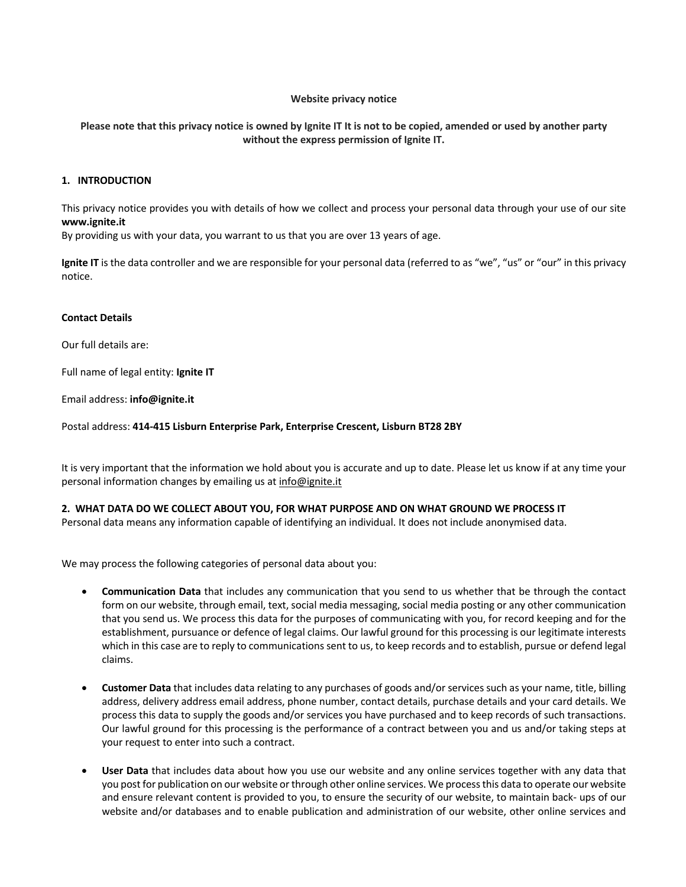# **Website privacy notice**

Please note that this privacy notice is owned by Ignite IT It is not to be copied, amended or used by another party **without the express permission of Ignite IT.**

## **1. INTRODUCTION**

This privacy notice provides you with details of how we collect and process your personal data through your use of our site **www.ignite.it**

By providing us with your data, you warrant to us that you are over 13 years of age.

**Ignite IT** is the data controller and we are responsible for your personal data (referred to as "we", "us" or "our" in this privacy notice.

### **Contact Details**

Our full details are:

Full name of legal entity: **Ignite IT**

Email address: **info@ignite.it**

Postal address: **414-415 Lisburn Enterprise Park, Enterprise Crescent, Lisburn BT28 2BY**

It is very important that the information we hold about you is accurate and up to date. Please let us know if at any time your personal information changes by emailing us at info@ignite.it

### **2. WHAT DATA DO WE COLLECT ABOUT YOU, FOR WHAT PURPOSE AND ON WHAT GROUND WE PROCESS IT**

Personal data means any information capable of identifying an individual. It does not include anonymised data.

We may process the following categories of personal data about you:

- **Communication Data** that includes any communication that you send to us whether that be through the contact form on our website, through email, text, social media messaging, social media posting or any other communication that you send us. We process this data for the purposes of communicating with you, for record keeping and for the establishment, pursuance or defence of legal claims. Our lawful ground for this processing is our legitimate interests which in this case are to reply to communications sent to us, to keep records and to establish, pursue or defend legal claims.
- **Customer Data** that includes data relating to any purchases of goods and/or services such as your name, title, billing address, delivery address email address, phone number, contact details, purchase details and your card details. We process this data to supply the goods and/or services you have purchased and to keep records of such transactions. Our lawful ground for this processing is the performance of a contract between you and us and/or taking steps at your request to enter into such a contract.
- **User Data** that includes data about how you use our website and any online services together with any data that you post for publication on our website orthrough other online services. We processthis data to operate our website and ensure relevant content is provided to you, to ensure the security of our website, to maintain back- ups of our website and/or databases and to enable publication and administration of our website, other online services and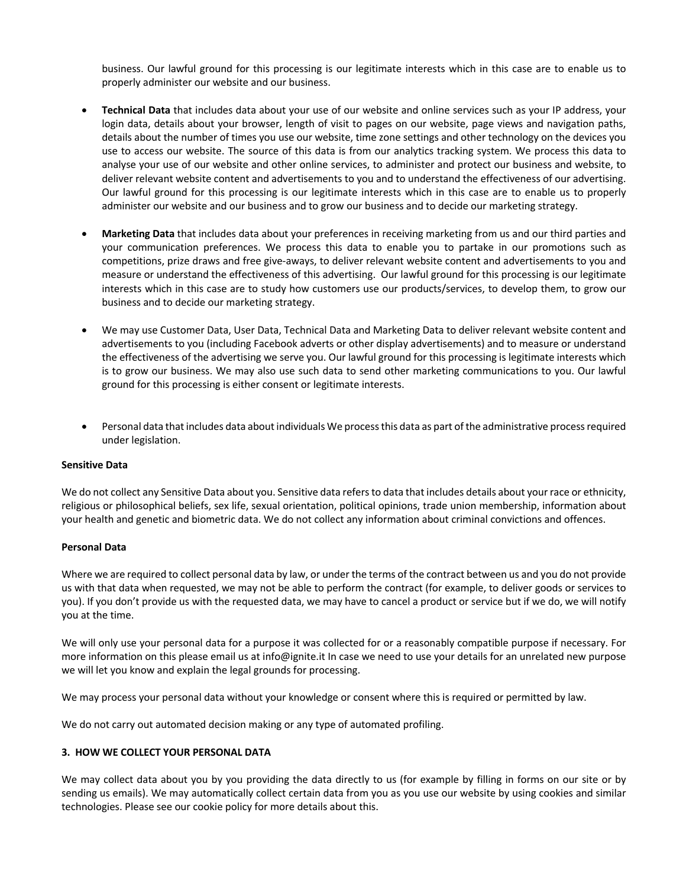business. Our lawful ground for this processing is our legitimate interests which in this case are to enable us to properly administer our website and our business.

- **Technical Data** that includes data about your use of our website and online services such as your IP address, your login data, details about your browser, length of visit to pages on our website, page views and navigation paths, details about the number of times you use our website, time zone settings and other technology on the devices you use to access our website. The source of this data is from our analytics tracking system. We process this data to analyse your use of our website and other online services, to administer and protect our business and website, to deliver relevant website content and advertisements to you and to understand the effectiveness of our advertising. Our lawful ground for this processing is our legitimate interests which in this case are to enable us to properly administer our website and our business and to grow our business and to decide our marketing strategy.
- **Marketing Data** that includes data about your preferences in receiving marketing from us and our third parties and your communication preferences. We process this data to enable you to partake in our promotions such as competitions, prize draws and free give-aways, to deliver relevant website content and advertisements to you and measure or understand the effectiveness of this advertising. Our lawful ground for this processing is our legitimate interests which in this case are to study how customers use our products/services, to develop them, to grow our business and to decide our marketing strategy.
- We may use Customer Data, User Data, Technical Data and Marketing Data to deliver relevant website content and advertisements to you (including Facebook adverts or other display advertisements) and to measure or understand the effectiveness of the advertising we serve you. Our lawful ground for this processing is legitimate interests which is to grow our business. We may also use such data to send other marketing communications to you. Our lawful ground for this processing is either consent or legitimate interests.
- Personal data that includes data about individuals We process this data as part of the administrative process required under legislation.

### **Sensitive Data**

We do not collect any Sensitive Data about you. Sensitive data refers to data that includes details about your race or ethnicity, religious or philosophical beliefs, sex life, sexual orientation, political opinions, trade union membership, information about your health and genetic and biometric data. We do not collect any information about criminal convictions and offences.

### **Personal Data**

Where we are required to collect personal data by law, or under the terms of the contract between us and you do not provide us with that data when requested, we may not be able to perform the contract (for example, to deliver goods or services to you). If you don't provide us with the requested data, we may have to cancel a product or service but if we do, we will notify you at the time.

We will only use your personal data for a purpose it was collected for or a reasonably compatible purpose if necessary. For more information on this please email us at info@ignite.it In case we need to use your details for an unrelated new purpose we will let you know and explain the legal grounds for processing.

We may process your personal data without your knowledge or consent where this is required or permitted by law.

We do not carry out automated decision making or any type of automated profiling.

# **3. HOW WE COLLECT YOUR PERSONAL DATA**

We may collect data about you by you providing the data directly to us (for example by filling in forms on our site or by sending us emails). We may automatically collect certain data from you as you use our website by using cookies and similar technologies. Please see our cookie policy for more details about this.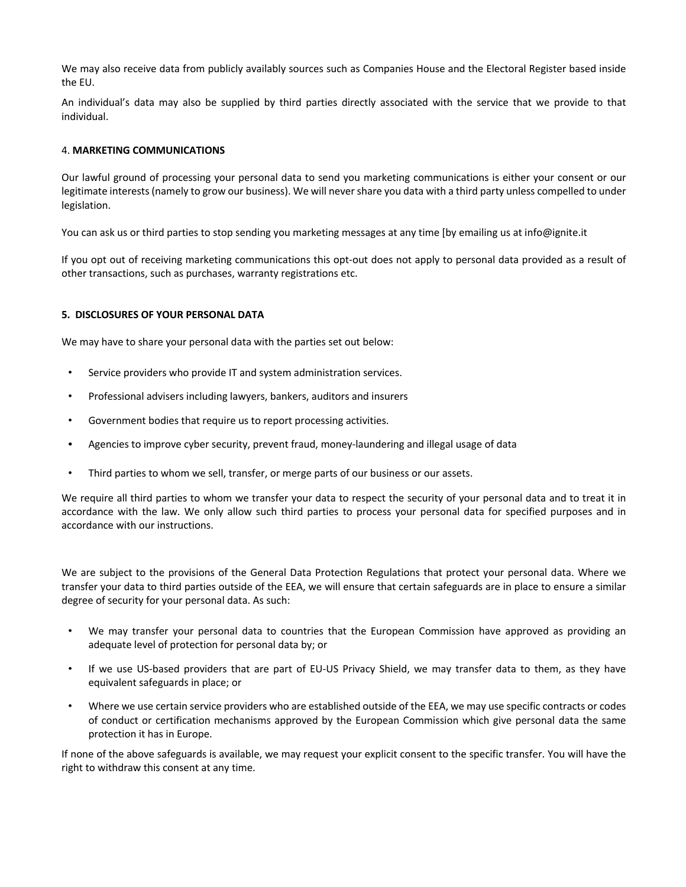We may also receive data from publicly availably sources such as Companies House and the Electoral Register based inside the EU.

An individual's data may also be supplied by third parties directly associated with the service that we provide to that individual.

## 4. **MARKETING COMMUNICATIONS**

Our lawful ground of processing your personal data to send you marketing communications is either your consent or our legitimate interests(namely to grow our business). We will nevershare you data with a third party unless compelled to under legislation.

You can ask us or third parties to stop sending you marketing messages at any time [by emailing us at info@ignite.it

If you opt out of receiving marketing communications this opt-out does not apply to personal data provided as a result of other transactions, such as purchases, warranty registrations etc.

# **5. DISCLOSURES OF YOUR PERSONAL DATA**

We may have to share your personal data with the parties set out below:

- ! Service providers who provide IT and system administration services.
- ! Professional advisers including lawyers, bankers, auditors and insurers
- ! Government bodies that require us to report processing activities.
- ! Agencies to improve cyber security, prevent fraud, money-laundering and illegal usage of data
- ! Third parties to whom we sell, transfer, or merge parts of our business or our assets.

We require all third parties to whom we transfer your data to respect the security of your personal data and to treat it in accordance with the law. We only allow such third parties to process your personal data for specified purposes and in accordance with our instructions.

We are subject to the provisions of the General Data Protection Regulations that protect your personal data. Where we transfer your data to third parties outside of the EEA, we will ensure that certain safeguards are in place to ensure a similar degree of security for your personal data. As such:

- ! We may transfer your personal data to countries that the European Commission have approved as providing an adequate level of protection for personal data by; or
- ! If we use US-based providers that are part of EU-US Privacy Shield, we may transfer data to them, as they have equivalent safeguards in place; or
- ! Where we use certain service providers who are established outside of the EEA, we may use specific contracts or codes of conduct or certification mechanisms approved by the European Commission which give personal data the same protection it has in Europe.

If none of the above safeguards is available, we may request your explicit consent to the specific transfer. You will have the right to withdraw this consent at any time.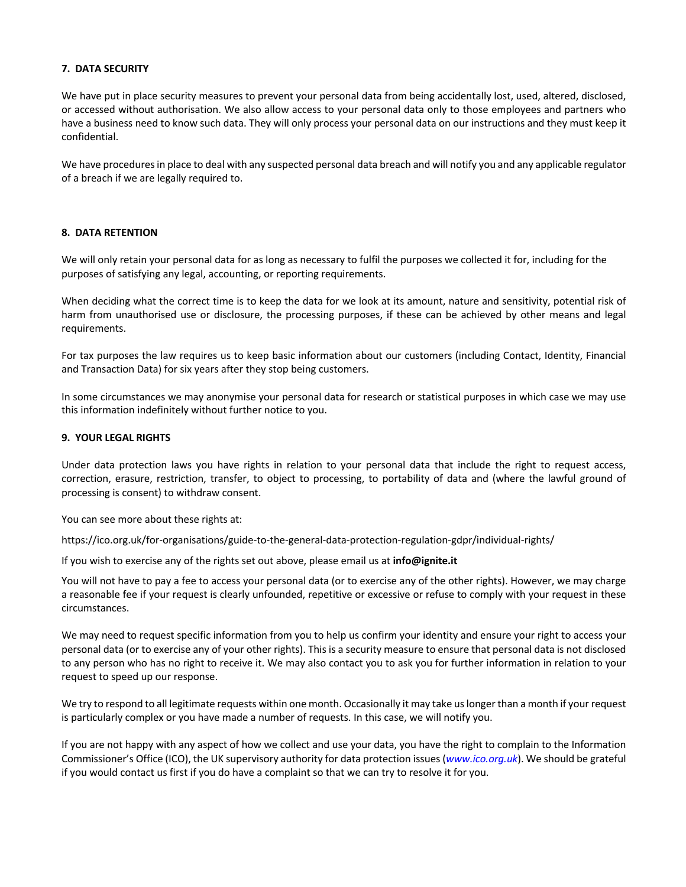# **7. DATA SECURITY**

We have put in place security measures to prevent your personal data from being accidentally lost, used, altered, disclosed, or accessed without authorisation. We also allow access to your personal data only to those employees and partners who have a business need to know such data. They will only process your personal data on our instructions and they must keep it confidential.

We have procedures in place to deal with any suspected personal data breach and will notify you and any applicable regulator of a breach if we are legally required to.

# **8. DATA RETENTION**

We will only retain your personal data for as long as necessary to fulfil the purposes we collected it for, including for the purposes of satisfying any legal, accounting, or reporting requirements.

When deciding what the correct time is to keep the data for we look at its amount, nature and sensitivity, potential risk of harm from unauthorised use or disclosure, the processing purposes, if these can be achieved by other means and legal requirements.

For tax purposes the law requires us to keep basic information about our customers (including Contact, Identity, Financial and Transaction Data) for six years after they stop being customers.

In some circumstances we may anonymise your personal data for research or statistical purposes in which case we may use this information indefinitely without further notice to you.

### **9. YOUR LEGAL RIGHTS**

Under data protection laws you have rights in relation to your personal data that include the right to request access, correction, erasure, restriction, transfer, to object to processing, to portability of data and (where the lawful ground of processing is consent) to withdraw consent.

You can see more about these rights at:

https://ico.org.uk/for-organisations/guide-to-the-general-data-protection-regulation-gdpr/individual-rights/

If you wish to exercise any of the rights set out above, please email us at **info@ignite.it**

You will not have to pay a fee to access your personal data (or to exercise any of the other rights). However, we may charge a reasonable fee if your request is clearly unfounded, repetitive or excessive or refuse to comply with your request in these circumstances.

We may need to request specific information from you to help us confirm your identity and ensure your right to access your personal data (or to exercise any of your other rights). This is a security measure to ensure that personal data is not disclosed to any person who has no right to receive it. We may also contact you to ask you for further information in relation to your request to speed up our response.

We try to respond to all legitimate requests within one month. Occasionally it may take us longer than a month if your request is particularly complex or you have made a number of requests. In this case, we will notify you.

If you are not happy with any aspect of how we collect and use your data, you have the right to complain to the Information Commissioner's Office (ICO), the UK supervisory authority for data protection issues (*www.ico.org.uk*). We should be grateful if you would contact us first if you do have a complaint so that we can try to resolve it for you.